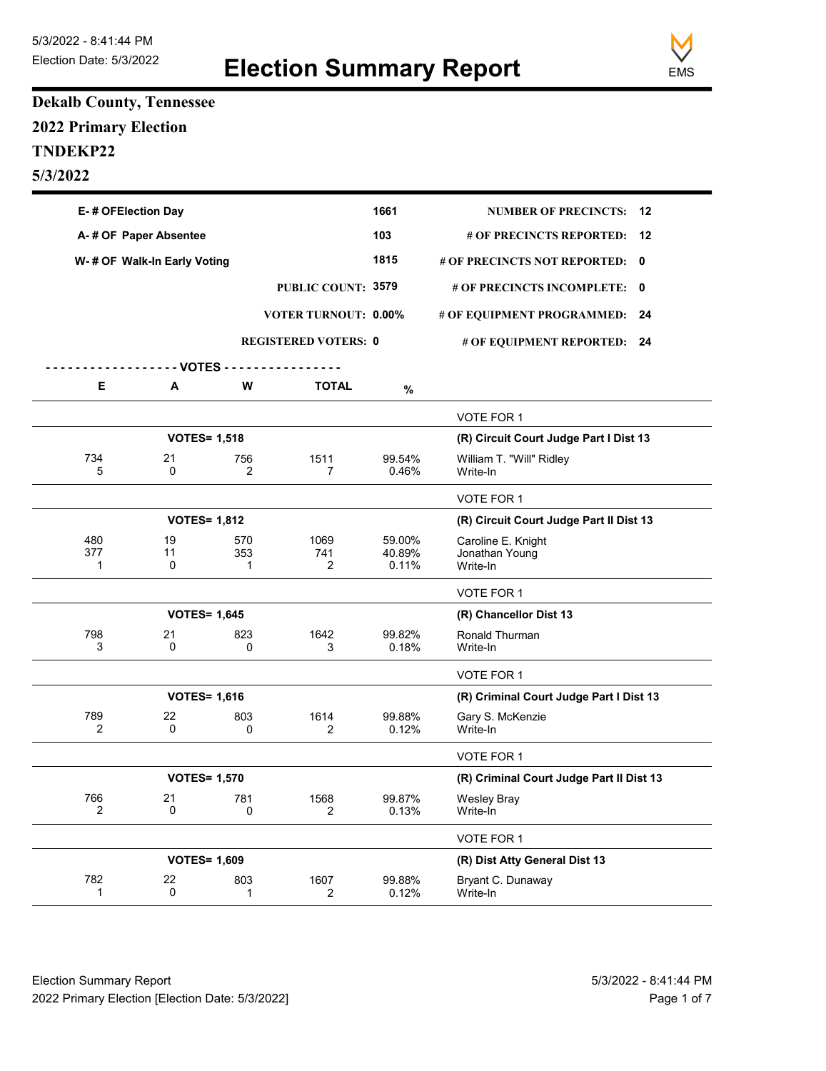

## **Dekalb County, Tennessee 2022 Primary Election TNDEKP22 5/3/2022**

|                 | E-# OFElection Day           |                 |                             |                           | <b>NUMBER OF PRECINCTS:</b>                      | -12 |
|-----------------|------------------------------|-----------------|-----------------------------|---------------------------|--------------------------------------------------|-----|
|                 | A-# OF Paper Absentee        |                 |                             | 103                       | # OF PRECINCTS REPORTED:<br>12                   |     |
|                 | W- # OF Walk-In Early Voting |                 |                             | 1815                      | # OF PRECINCTS NOT REPORTED: 0                   |     |
|                 |                              |                 | PUBLIC COUNT: 3579          |                           | # OF PRECINCTS INCOMPLETE:                       | 0   |
|                 |                              |                 | <b>VOTER TURNOUT: 0.00%</b> |                           | # OF EQUIPMENT PROGRAMMED:                       | 24  |
|                 |                              |                 | <b>REGISTERED VOTERS: 0</b> |                           | # OF EQUIPMENT REPORTED: 24                      |     |
|                 | - - - VOTES - -              |                 |                             |                           |                                                  |     |
| Е               | А                            | W               | <b>TOTAL</b>                | $\%$                      |                                                  |     |
|                 |                              |                 |                             |                           | VOTE FOR 1                                       |     |
|                 | <b>VOTES= 1,518</b>          |                 |                             |                           | (R) Circuit Court Judge Part I Dist 13           |     |
| 734<br>5        | 21<br>0                      | 756<br>2        | 1511<br>$\overline{7}$      | 99.54%<br>0.46%           | William T. "Will" Ridley<br>Write-In             |     |
|                 |                              |                 |                             |                           | VOTE FOR 1                                       |     |
|                 | <b>VOTES= 1,812</b>          |                 |                             |                           | (R) Circuit Court Judge Part II Dist 13          |     |
| 480<br>377<br>1 | 19<br>11<br>0                | 570<br>353<br>1 | 1069<br>741<br>2            | 59.00%<br>40.89%<br>0.11% | Caroline E. Knight<br>Jonathan Young<br>Write-In |     |
|                 |                              |                 |                             |                           | VOTE FOR 1                                       |     |
|                 | <b>VOTES= 1,645</b>          |                 |                             |                           | (R) Chancellor Dist 13                           |     |
| 798<br>3        | 21<br>0                      | 823<br>0        | 1642<br>3                   | 99.82%<br>0.18%           | Ronald Thurman<br>Write-In                       |     |
|                 |                              |                 |                             |                           | VOTE FOR 1                                       |     |
|                 | <b>VOTES= 1,616</b>          |                 |                             |                           | (R) Criminal Court Judge Part I Dist 13          |     |
| 789<br>2        | 22<br>0                      | 803<br>0        | 1614<br>2                   | 99.88%<br>0.12%           | Gary S. McKenzie<br>Write-In                     |     |
|                 |                              |                 |                             |                           | VOTE FOR 1                                       |     |
|                 | <b>VOTES= 1,570</b>          |                 |                             |                           | (R) Criminal Court Judge Part II Dist 13         |     |
| 766<br>2        | 21<br>0                      | 781<br>0        | 1568<br>2                   | 99.87%<br>0.13%           | <b>Wesley Bray</b><br>Write-In                   |     |
|                 |                              |                 |                             |                           | VOTE FOR 1                                       |     |
|                 | <b>VOTES= 1,609</b>          |                 |                             |                           | (R) Dist Atty General Dist 13                    |     |
| 782<br>1        | 22<br>0                      | 803<br>1        | 1607<br>$\overline{2}$      | 99.88%<br>0.12%           | Bryant C. Dunaway<br>Write-In                    |     |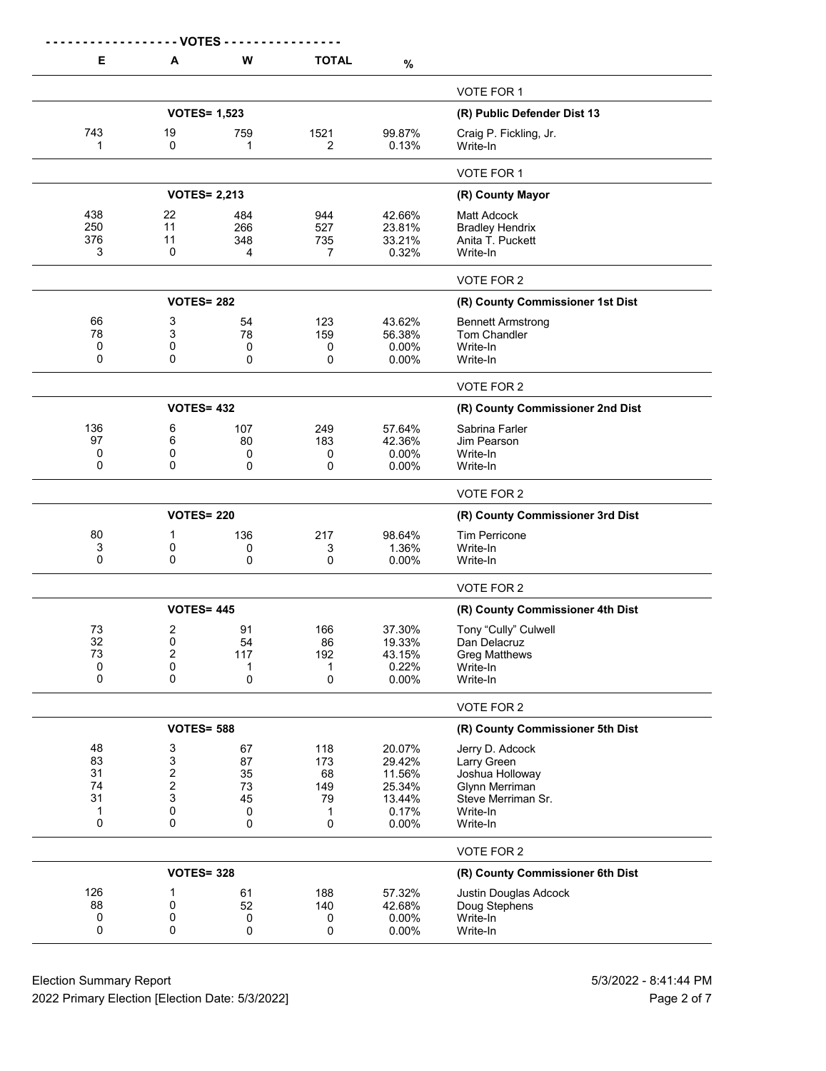|                                      | - VOTES                              |                                      |                                         |                                                                  |                                                                                                                   |
|--------------------------------------|--------------------------------------|--------------------------------------|-----------------------------------------|------------------------------------------------------------------|-------------------------------------------------------------------------------------------------------------------|
| Е                                    | A                                    | W                                    | <b>TOTAL</b>                            | $\%$                                                             |                                                                                                                   |
|                                      |                                      |                                      |                                         |                                                                  | VOTE FOR 1                                                                                                        |
|                                      | <b>VOTES= 1,523</b>                  |                                      |                                         |                                                                  | (R) Public Defender Dist 13                                                                                       |
| 743<br>1                             | 19<br>0                              | 759<br>1                             | 1521<br>2                               | 99.87%<br>0.13%                                                  | Craig P. Fickling, Jr.<br>Write-In                                                                                |
|                                      |                                      |                                      |                                         |                                                                  | VOTE FOR 1                                                                                                        |
|                                      | <b>VOTES= 2,213</b>                  |                                      | (R) County Mayor                        |                                                                  |                                                                                                                   |
| 438<br>250<br>376<br>3               | 22<br>11<br>11<br>0                  | 484<br>266<br>348<br>4               | 944<br>527<br>735<br>7                  | 42.66%<br>23.81%<br>33.21%<br>0.32%                              | Matt Adcock<br><b>Bradley Hendrix</b><br>Anita T. Puckett<br>Write-In                                             |
|                                      |                                      |                                      |                                         |                                                                  | VOTE FOR 2                                                                                                        |
|                                      | <b>VOTES= 282</b>                    |                                      |                                         |                                                                  | (R) County Commissioner 1st Dist                                                                                  |
| 66<br>78<br>0<br>0                   | 3<br>3<br>0<br>0                     | 54<br>78<br>0<br>0                   | 123<br>159<br>0<br>0                    | 43.62%<br>56.38%<br>$0.00\%$<br>$0.00\%$                         | <b>Bennett Armstrong</b><br>Tom Chandler<br>Write-In<br>Write-In                                                  |
|                                      |                                      |                                      |                                         |                                                                  | VOTE FOR 2                                                                                                        |
|                                      | <b>VOTES= 432</b>                    |                                      |                                         |                                                                  | (R) County Commissioner 2nd Dist                                                                                  |
| 136<br>97<br>0<br>0                  | 6<br>6<br>0<br>0                     | 107<br>80<br>0<br>0                  | 249<br>183<br>0<br>0                    | 57.64%<br>42.36%<br>0.00%<br>0.00%                               | Sabrina Farler<br>Jim Pearson<br>Write-In<br>Write-In                                                             |
|                                      |                                      |                                      |                                         |                                                                  | VOTE FOR 2                                                                                                        |
|                                      | <b>VOTES= 220</b>                    |                                      |                                         |                                                                  | (R) County Commissioner 3rd Dist                                                                                  |
| 80<br>3<br>0                         | 1<br>0<br>0                          | 136<br>0<br>0                        | 217<br>3<br>0                           | 98.64%<br>1.36%<br>0.00%                                         | <b>Tim Perricone</b><br>Write-In<br>Write-In                                                                      |
|                                      |                                      |                                      |                                         |                                                                  | VOTE FOR 2                                                                                                        |
|                                      | <b>VOTES= 445</b>                    |                                      |                                         |                                                                  | (R) County Commissioner 4th Dist                                                                                  |
| 73<br>32<br>73<br>0<br>0             | 2<br>0<br>$\boldsymbol{2}$<br>0<br>0 | 91<br>54<br>117<br>1<br>0            | 166<br>86<br>192<br>1<br>0              | 37.30%<br>19.33%<br>43.15%<br>0.22%<br>0.00%                     | Tony "Cully" Culwell<br>Dan Delacruz<br><b>Greg Matthews</b><br>Write-In<br>Write-In                              |
|                                      |                                      |                                      |                                         |                                                                  | VOTE FOR 2                                                                                                        |
|                                      | <b>VOTES= 588</b>                    |                                      |                                         |                                                                  | (R) County Commissioner 5th Dist                                                                                  |
| 48<br>83<br>31<br>74<br>31<br>1<br>0 | 3<br>3<br>2<br>2<br>3<br>0<br>0      | 67<br>87<br>35<br>73<br>45<br>0<br>0 | 118<br>173<br>68<br>149<br>79<br>1<br>0 | 20.07%<br>29.42%<br>11.56%<br>25.34%<br>13.44%<br>0.17%<br>0.00% | Jerry D. Adcock<br>Larry Green<br>Joshua Holloway<br>Glynn Merriman<br>Steve Merriman Sr.<br>Write-In<br>Write-In |
|                                      |                                      |                                      |                                         |                                                                  | VOTE FOR 2                                                                                                        |
|                                      | <b>VOTES= 328</b>                    |                                      | (R) County Commissioner 6th Dist        |                                                                  |                                                                                                                   |
| 126<br>88<br>0<br>0                  | 1<br>0<br>0<br>0                     | 61<br>52<br>0<br>0                   | 188<br>140<br>0<br>0                    | 57.32%<br>42.68%<br>0.00%<br>0.00%                               | Justin Douglas Adcock<br>Doug Stephens<br>Write-In<br>Write-In                                                    |

Election Summary Report 613/2022 - 8:41:44 PM 2022 Primary Election [Election Date: 5/3/2022] **Page 2 of 7** and 2022 Primary Election Date: 5/3/2022]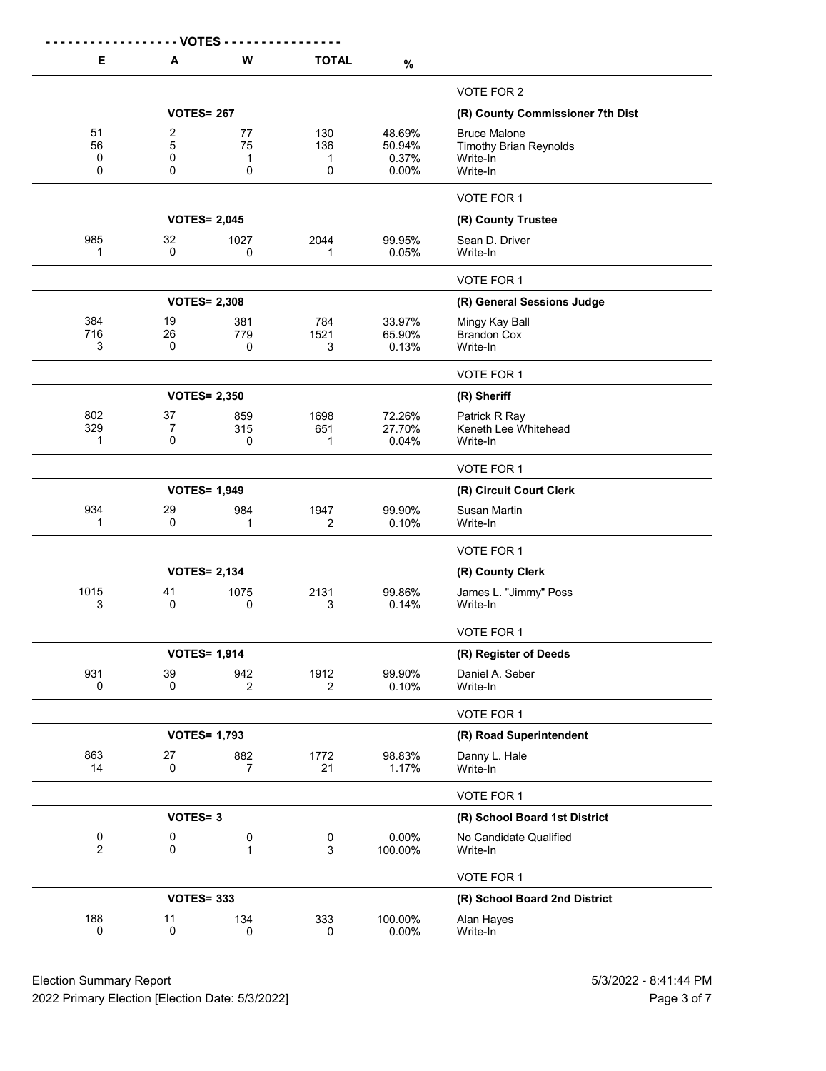|                     | - VOTES -         |                       |                               |                  |                                           |
|---------------------|-------------------|-----------------------|-------------------------------|------------------|-------------------------------------------|
| Е                   | A                 | W                     | <b>TOTAL</b>                  | $\%$             |                                           |
|                     |                   |                       |                               |                  | VOTE FOR 2                                |
|                     | <b>VOTES= 267</b> |                       |                               |                  | (R) County Commissioner 7th Dist          |
| 51                  | 2                 | 77                    | 130                           | 48.69%           | <b>Bruce Malone</b>                       |
| 56<br>0             | 5<br>0            | 75<br>1               | 136<br>1                      | 50.94%<br>0.37%  | <b>Timothy Brian Reynolds</b><br>Write-In |
| 0                   | 0                 | 0                     | 0                             | 0.00%            | Write-In                                  |
|                     |                   |                       |                               |                  | VOTE FOR 1                                |
|                     |                   | <b>VOTES= 2,045</b>   |                               |                  | (R) County Trustee                        |
| 985                 | 32                | 1027                  | 2044                          | 99.95%           | Sean D. Driver                            |
| 1                   | $\Omega$          | 0                     | 1                             | 0.05%            | Write-In                                  |
|                     |                   |                       |                               |                  | VOTE FOR 1                                |
|                     |                   | <b>VOTES= 2,308</b>   |                               |                  | (R) General Sessions Judge                |
| 384<br>716          | 19<br>26          | 381                   | 784                           | 33.97%           | Mingy Kay Ball                            |
| 3                   | $\mathbf 0$       | 779<br>0              | 1521<br>3                     | 65.90%<br>0.13%  | <b>Brandon Cox</b><br>Write-In            |
|                     |                   |                       |                               |                  | VOTE FOR 1                                |
|                     |                   | <b>VOTES= 2,350</b>   |                               |                  | (R) Sheriff                               |
| 802                 | 37                | 859                   | 1698                          | 72.26%           | Patrick R Ray                             |
| 329                 | 7                 | 315                   | 651                           | 27.70%           | Keneth Lee Whitehead                      |
| 1                   | 0                 | 0                     | 1                             | 0.04%            | Write-In                                  |
|                     |                   |                       |                               |                  | VOTE FOR 1                                |
|                     |                   | <b>VOTES= 1,949</b>   |                               |                  | (R) Circuit Court Clerk                   |
| 934<br>1            | 29<br>$\mathbf 0$ | 984<br>1              | 1947<br>2                     | 99.90%<br>0.10%  | <b>Susan Martin</b><br>Write-In           |
|                     |                   |                       |                               |                  | VOTE FOR 1                                |
|                     |                   | <b>VOTES= 2,134</b>   |                               |                  | (R) County Clerk                          |
| 1015                | 41                | 1075                  | 2131                          | 99.86%           | James L. "Jimmy" Poss                     |
| 3                   | 0                 | 0                     | 3                             | 0.14%            | Write-In                                  |
|                     |                   |                       |                               |                  | VOTE FOR 1                                |
|                     |                   | <b>VOTES= 1,914</b>   |                               |                  | (R) Register of Deeds                     |
| 931<br>0            | 39<br>0           | 942<br>$\overline{2}$ | 1912<br>$\overline{2}$        | 99.90%<br>0.10%  | Daniel A. Seber<br>Write-In               |
|                     |                   |                       |                               |                  |                                           |
|                     |                   |                       |                               |                  | VOTE FOR 1                                |
|                     |                   | <b>VOTES= 1,793</b>   |                               |                  | (R) Road Superintendent                   |
| 863<br>14           | 27<br>$\mathbf 0$ | 882<br>7              | 1772<br>21                    | 98.83%<br>1.17%  | Danny L. Hale<br>Write-In                 |
|                     |                   |                       |                               |                  | VOTE FOR 1                                |
|                     | <b>VOTES=3</b>    |                       | (R) School Board 1st District |                  |                                           |
| 0<br>$\overline{2}$ | 0<br>0            | 0<br>1                | 0<br>3                        | 0.00%<br>100.00% | No Candidate Qualified<br>Write-In        |
|                     |                   |                       |                               |                  | VOTE FOR 1                                |
|                     | <b>VOTES= 333</b> |                       |                               |                  | (R) School Board 2nd District             |
| 188                 | 11                | 134                   | 333                           | 100.00%          | Alan Hayes                                |
| 0                   | $\mathbf 0$       | 0                     | 0                             | 0.00%            | Write-In                                  |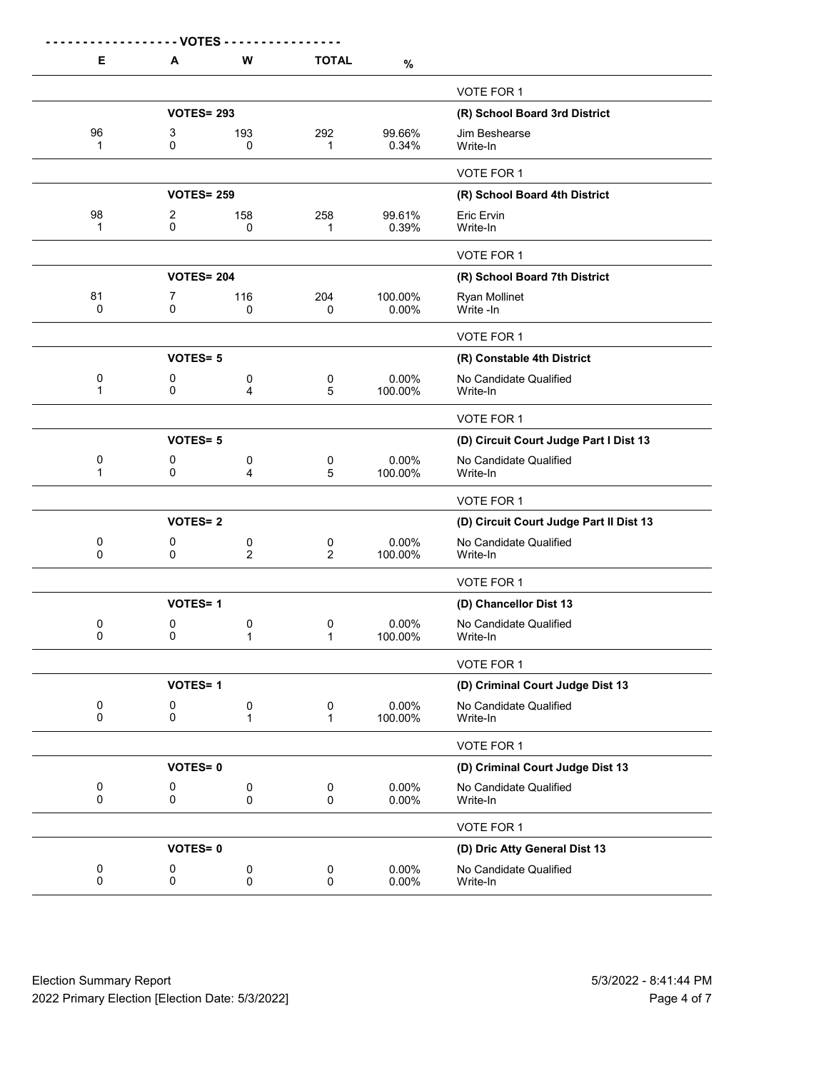| Е                        | <b>VOTES</b><br>A   | W                               | <b>TOTAL</b>        | $\%$             |                                         |
|--------------------------|---------------------|---------------------------------|---------------------|------------------|-----------------------------------------|
|                          |                     |                                 |                     |                  | VOTE FOR 1                              |
|                          | <b>VOTES= 293</b>   |                                 |                     |                  | (R) School Board 3rd District           |
| 96<br>$\mathbf{1}$       | 3<br>0              | 193<br>0                        | 292<br>1            | 99.66%<br>0.34%  | Jim Beshearse<br>Write-In               |
|                          |                     |                                 |                     |                  | VOTE FOR 1                              |
|                          | <b>VOTES= 259</b>   |                                 |                     |                  | (R) School Board 4th District           |
| 98<br>1                  | $\overline{c}$<br>0 | 158<br>0                        | 258<br>1            | 99.61%<br>0.39%  | Eric Ervin<br>Write-In                  |
|                          |                     |                                 |                     |                  | VOTE FOR 1                              |
|                          | <b>VOTES= 204</b>   |                                 |                     |                  | (R) School Board 7th District           |
| 81<br>0                  | 7<br>0              | 116<br>0                        | 204<br>0            | 100.00%<br>0.00% | <b>Ryan Mollinet</b><br>Write -In       |
|                          |                     |                                 |                     |                  | VOTE FOR 1                              |
|                          | <b>VOTES=5</b>      |                                 |                     |                  | (R) Constable 4th District              |
| 0<br>1                   | 0<br>0              | 0<br>4                          | 0<br>5              | 0.00%<br>100.00% | No Candidate Qualified<br>Write-In      |
|                          |                     |                                 |                     |                  | VOTE FOR 1                              |
|                          | <b>VOTES=5</b>      |                                 |                     |                  | (D) Circuit Court Judge Part I Dist 13  |
| 0<br>1                   | 0<br>0              | 0<br>4                          | 0<br>5              | 0.00%<br>100.00% | No Candidate Qualified<br>Write-In      |
|                          |                     |                                 |                     |                  | VOTE FOR 1                              |
|                          | <b>VOTES=2</b>      |                                 |                     |                  | (D) Circuit Court Judge Part II Dist 13 |
| 0<br>$\mathbf 0$         | 0<br>0              | 0<br>$\overline{2}$             | 0<br>$\overline{2}$ | 0.00%<br>100.00% | No Candidate Qualified<br>Write-In      |
|                          |                     |                                 |                     |                  | VOTE FOR 1                              |
|                          | <b>VOTES=1</b>      |                                 |                     |                  | (D) Chancellor Dist 13                  |
| 0<br>0                   | 0<br>0              | 0<br>1                          | 0<br>1              | 0.00%<br>100.00% | No Candidate Qualified<br>Write-In      |
|                          |                     |                                 |                     |                  | VOTE FOR 1                              |
|                          | <b>VOTES=1</b>      |                                 |                     |                  | (D) Criminal Court Judge Dist 13        |
| $\pmb{0}$<br>$\mathbf 0$ | 0<br>$\mathsf 0$    | 0<br>$\mathbf 1$                | 0<br>$\mathbf{1}$   | 0.00%<br>100.00% | No Candidate Qualified<br>Write-In      |
|                          |                     |                                 |                     |                  | VOTE FOR 1                              |
|                          | <b>VOTES=0</b>      |                                 |                     |                  | (D) Criminal Court Judge Dist 13        |
| $\pmb{0}$<br>$\mathbf 0$ | 0<br>$\mathsf 0$    | $\boldsymbol{0}$<br>$\mathsf 0$ | 0<br>$\mathbf 0$    | 0.00%<br>0.00%   | No Candidate Qualified<br>Write-In      |
|                          |                     |                                 |                     |                  | VOTE FOR 1                              |
|                          | <b>VOTES=0</b>      |                                 |                     |                  | (D) Dric Atty General Dist 13           |
| 0<br>$\mathbf 0$         | 0<br>0              | 0<br>$\mathsf 0$                | 0<br>$\mathbf 0$    | 0.00%<br>0.00%   | No Candidate Qualified<br>Write-In      |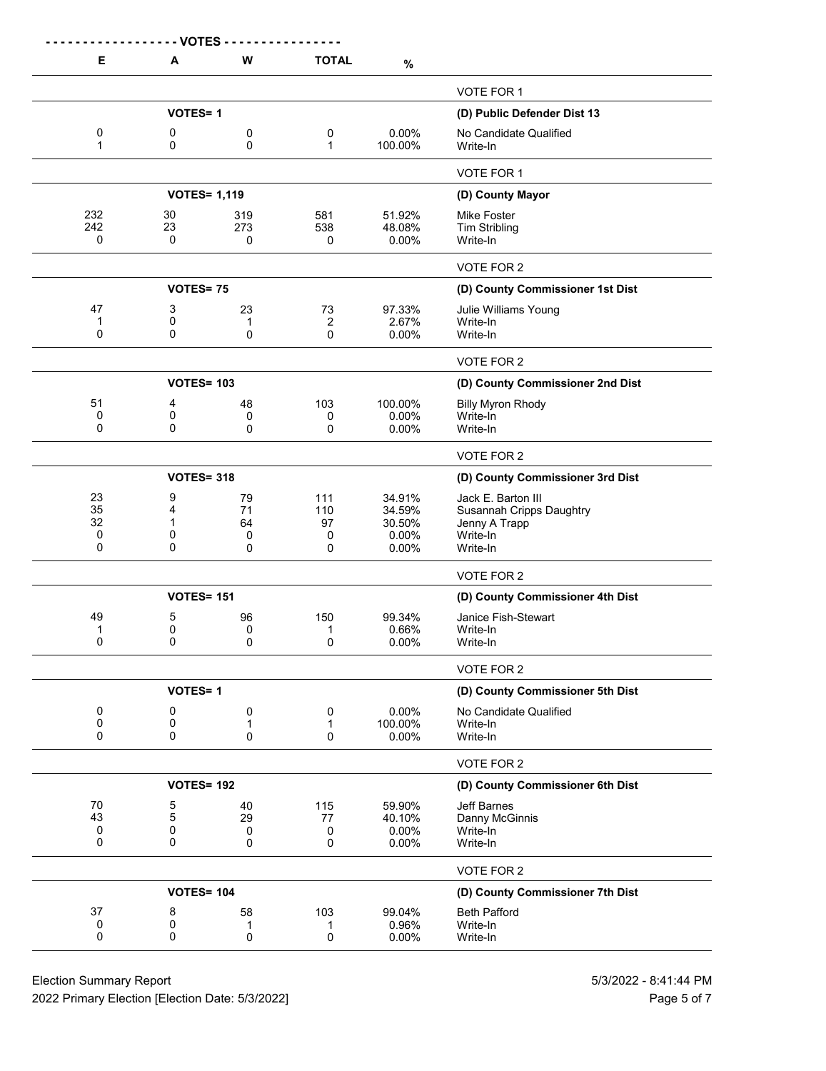|                   | - VOTES           |                     |                                  |                  |                                                  |
|-------------------|-------------------|---------------------|----------------------------------|------------------|--------------------------------------------------|
| Е                 | A                 | W                   | <b>TOTAL</b>                     | $\%$             |                                                  |
|                   |                   |                     |                                  |                  | VOTE FOR 1                                       |
|                   | <b>VOTES=1</b>    |                     | (D) Public Defender Dist 13      |                  |                                                  |
| 0<br>1            | 0<br>0            | 0<br>0              | 0<br>$\mathbf{1}$                | 0.00%<br>100.00% | No Candidate Qualified<br>Write-In               |
|                   |                   |                     |                                  |                  | VOTE FOR 1                                       |
|                   |                   | <b>VOTES= 1,119</b> |                                  |                  | (D) County Mayor                                 |
| 232               | 30                | 319                 | 581                              | 51.92%           | Mike Foster                                      |
| 242<br>0          | 23<br>0           | 273                 | 538                              | 48.08%<br>0.00%  | <b>Tim Stribling</b><br>Write-In                 |
|                   |                   | 0                   | 0                                |                  |                                                  |
|                   |                   |                     |                                  |                  | VOTE FOR 2                                       |
|                   | <b>VOTES=75</b>   |                     |                                  |                  | (D) County Commissioner 1st Dist                 |
| 47                | 3                 | 23                  | 73                               | 97.33%           | Julie Williams Young                             |
| 1<br>0            | 0<br>0            | 1<br>0              | 2<br>0                           | 2.67%<br>0.00%   | Write-In<br>Write-In                             |
|                   |                   |                     |                                  |                  |                                                  |
|                   | <b>VOTES= 103</b> |                     |                                  |                  | VOTE FOR 2                                       |
|                   |                   |                     |                                  |                  | (D) County Commissioner 2nd Dist                 |
| 51<br>0           | 4<br>0            | 48<br>0             | 103<br>0                         | 100.00%<br>0.00% | <b>Billy Myron Rhody</b><br>Write-In             |
| 0                 | 0                 | 0                   | 0                                | 0.00%            | Write-In                                         |
|                   |                   |                     |                                  |                  | VOTE FOR 2                                       |
|                   | <b>VOTES= 318</b> |                     |                                  |                  | (D) County Commissioner 3rd Dist                 |
| 23                | 9                 | 79                  | 111                              | 34.91%           | Jack E. Barton III                               |
| 35<br>32          | 4<br>$\mathbf 1$  | 71<br>64            | 110<br>97                        | 34.59%<br>30.50% | <b>Susannah Cripps Daughtry</b><br>Jenny A Trapp |
| 0                 | 0                 | 0                   | 0                                | 0.00%            | Write-In                                         |
| 0                 | 0                 | 0                   | 0                                | 0.00%            | Write-In                                         |
|                   |                   |                     |                                  |                  | VOTE FOR 2                                       |
|                   | <b>VOTES= 151</b> |                     |                                  |                  | (D) County Commissioner 4th Dist                 |
| 49                | 5                 | 96                  | 150                              | 99.34%           | Janice Fish-Stewart                              |
| 1<br>0            | 0<br>0            | 0<br>0              | 1<br>0                           | 0.66%<br>0.00%   | Write-In<br>Write-In                             |
|                   |                   |                     |                                  |                  |                                                  |
|                   | <b>VOTES=1</b>    |                     |                                  |                  | VOTE FOR 2<br>(D) County Commissioner 5th Dist   |
|                   |                   |                     |                                  |                  |                                                  |
| 0<br>0            | 0<br>0            | 0<br>1              | 0<br>1                           | 0.00%<br>100.00% | No Candidate Qualified<br>Write-In               |
| 0                 | 0                 | 0                   | 0                                | 0.00%            | Write-In                                         |
|                   |                   |                     |                                  |                  | VOTE FOR 2                                       |
| <b>VOTES= 192</b> |                   |                     |                                  |                  | (D) County Commissioner 6th Dist                 |
| 70                | 5                 | 40                  | 115                              | 59.90%           | <b>Jeff Barnes</b>                               |
| 43<br>0           | 5<br>0            | 29<br>0             | 77<br>0                          | 40.10%<br>0.00%  | Danny McGinnis<br>Write-In                       |
| 0                 | 0                 | 0                   | 0                                | 0.00%            | Write-In                                         |
|                   |                   |                     |                                  |                  | VOTE FOR 2                                       |
|                   | <b>VOTES= 104</b> |                     | (D) County Commissioner 7th Dist |                  |                                                  |
| 37                | 8                 | 58                  | 103                              | 99.04%           | <b>Beth Pafford</b>                              |
| 0<br>0            | 0<br>0            | 1                   | 1                                | 0.96%            | Write-In                                         |
|                   |                   | 0                   | 0                                | 0.00%            | Write-In                                         |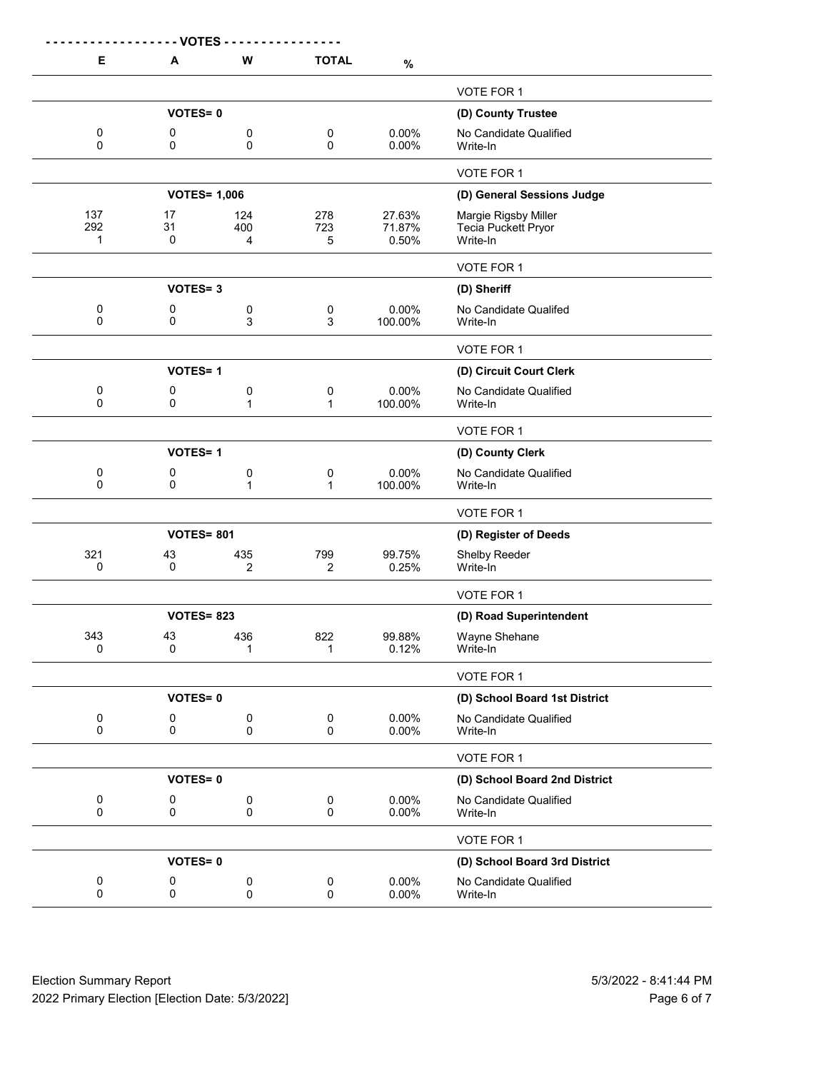|               | <b>VOTES</b>      |                     |                          |                  |                                             |
|---------------|-------------------|---------------------|--------------------------|------------------|---------------------------------------------|
| Е             | A                 | W                   | <b>TOTAL</b>             | $\%$             |                                             |
|               |                   |                     |                          |                  | VOTE FOR 1                                  |
|               | <b>VOTES=0</b>    |                     |                          |                  | (D) County Trustee                          |
| 0             | 0                 | 0                   | 0                        | 0.00%            | No Candidate Qualified                      |
| $\Omega$      | 0                 | 0                   | 0                        | 0.00%            | Write-In                                    |
|               |                   |                     |                          |                  | <b>VOTE FOR 1</b>                           |
|               |                   | <b>VOTES= 1,006</b> |                          |                  | (D) General Sessions Judge                  |
| 137<br>292    | 17<br>31          | 124<br>400          | 278<br>723               | 27.63%<br>71.87% | Margie Rigsby Miller<br>Tecia Puckett Pryor |
| 1             | 0                 | 4                   | 5                        | 0.50%            | Write-In                                    |
|               |                   |                     |                          |                  | VOTE FOR 1                                  |
|               | <b>VOTES=3</b>    |                     |                          |                  | (D) Sheriff                                 |
| 0             | 0                 | 0                   | 0                        | 0.00%            | No Candidate Qualifed                       |
| 0             | 0                 | 3                   | 3                        | 100.00%          | Write-In                                    |
|               |                   |                     |                          |                  | VOTE FOR 1                                  |
|               | <b>VOTES=1</b>    |                     |                          |                  | (D) Circuit Court Clerk                     |
| 0<br>$\Omega$ | 0<br>0            | 0<br>$\mathbf{1}$   | 0<br>1                   | 0.00%<br>100.00% | No Candidate Qualified<br>Write-In          |
|               |                   |                     |                          |                  |                                             |
|               |                   |                     |                          |                  | VOTE FOR 1                                  |
|               | <b>VOTES=1</b>    |                     |                          |                  | (D) County Clerk                            |
| 0<br>0        | 0<br>0            | 0<br>1              | 0<br>1                   | 0.00%<br>100.00% | No Candidate Qualified<br>Write-In          |
|               |                   |                     |                          |                  | VOTE FOR 1                                  |
|               | <b>VOTES= 801</b> |                     |                          |                  | (D) Register of Deeds                       |
| 321           | 43                | 435                 | 799                      | 99.75%           | Shelby Reeder                               |
| 0             | 0                 | 2                   | 2                        | 0.25%            | Write-In                                    |
|               |                   |                     |                          |                  | VOTE FOR 1                                  |
|               | <b>VOTES= 823</b> |                     |                          |                  | (D) Road Superintendent                     |
| 343<br>0      | 43<br>0           | 436                 | 822<br>$\mathbf{1}$      | 99.88%<br>0.12%  | Wayne Shehane                               |
|               |                   | 1                   |                          |                  | Write-In                                    |
|               |                   |                     |                          |                  | VOTE FOR 1                                  |
|               | <b>VOTES=0</b>    |                     |                          |                  | (D) School Board 1st District               |
| 0<br>0        | 0<br>0            | $\pmb{0}$<br>0      | $\pmb{0}$<br>$\mathbf 0$ | 0.00%<br>0.00%   | No Candidate Qualified<br>Write-In          |
|               |                   |                     |                          |                  | VOTE FOR 1                                  |
|               | <b>VOTES=0</b>    |                     |                          |                  | (D) School Board 2nd District               |
| $\pmb{0}$     | 0                 | 0                   | $\pmb{0}$                | 0.00%            | No Candidate Qualified                      |
| $\mathsf 0$   | $\mathbf 0$       | 0                   | 0                        | 0.00%            | Write-In                                    |
|               |                   |                     |                          |                  | VOTE FOR 1                                  |
|               | <b>VOTES=0</b>    |                     |                          |                  | (D) School Board 3rd District               |
| 0             | 0                 | 0                   | 0                        | 0.00%            | No Candidate Qualified                      |
| $\mathbf 0$   | 0                 | 0                   | 0                        | 0.00%            | Write-In                                    |